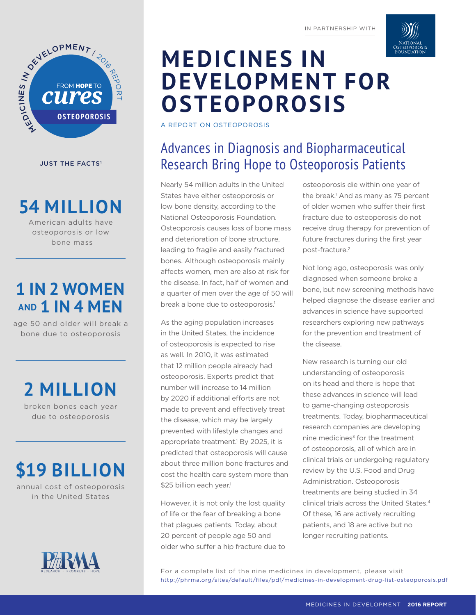

**JUST THE FACTS<sup>1</sup>** 

**54 MILLION**

American adults have osteoporosis or low bone mass

## **1 IN 2 WOMEN AND 1 IN 4 MEN**

age 50 and older will break a bone due to osteoporosis

**2 MILLION**

broken bones each year due to osteoporosis

# **\$19 BILLION**

annual cost of osteoporosis in the United States



# **MEDICINES IN DEVELOPMENT FOR OSTEOPOROSIS**

A REPORT ON OSTEOPOROSIS

### Advances in Diagnosis and Biopharmaceutical Research Bring Hope to Osteoporosis Patients

Nearly 54 million adults in the United States have either osteoporosis or low bone density, according to the National Osteoporosis Foundation. Osteoporosis causes loss of bone mass and deterioration of bone structure, leading to fragile and easily fractured bones. Although osteoporosis mainly afects women, men are also at risk for the disease. In fact, half of women and a quarter of men over the age of 50 will break a bone due to osteoporosis.<sup>1</sup>

As the aging population increases in the United States, the incidence of osteoporosis is expected to rise as well. In 2010, it was estimated that 12 million people already had osteoporosis. Experts predict that number will increase to 14 million by 2020 if additional efforts are not made to prevent and efectively treat the disease, which may be largely prevented with lifestyle changes and appropriate treatment.<sup>1</sup> By 2025, it is predicted that osteoporosis will cause about three million bone fractures and cost the health care system more than \$25 billion each year.<sup>1</sup>

However, it is not only the lost quality of life or the fear of breaking a bone that plagues patients. Today, about 20 percent of people age 50 and older who suffer a hip fracture due to osteoporosis die within one year of the break.<sup>1</sup> And as many as 75 percent of older women who suffer their first fracture due to osteoporosis do not receive drug therapy for prevention of future fractures during the first year post-fracture.2

Not long ago, osteoporosis was only diagnosed when someone broke a bone, but new screening methods have helped diagnose the disease earlier and advances in science have supported researchers exploring new pathways for the prevention and treatment of the disease.

New research is turning our old understanding of osteoporosis on its head and there is hope that these advances in science will lead to game-changing osteoporosis treatments. Today, biopharmaceutical research companies are developing nine medicines $3$  for the treatment of osteoporosis, all of which are in clinical trials or undergoing regulatory review by the U.S. Food and Drug Administration. Osteoporosis treatments are being studied in 34 clinical trials across the United States.4 Of these, 16 are actively recruiting patients, and 18 are active but no longer recruiting patients.

For a complete list of the nine medicines in development, please visit http://phrma.org/sites/default/files/pdf/medicines-in-development-drug-list-osteoporosis.pdf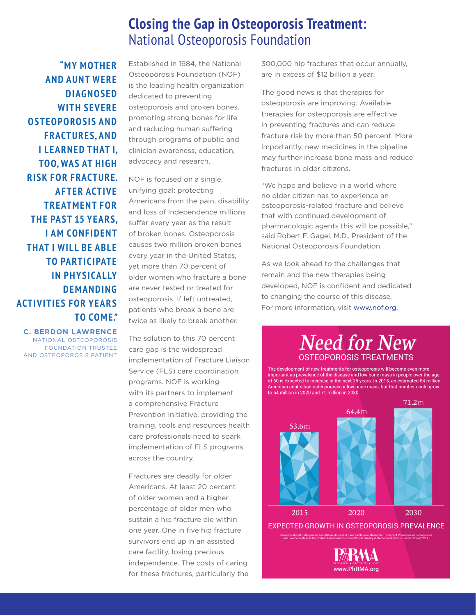#### **Closing the Gap in Osteoporosis Treatment:**  National Osteoporosis Foundation

**"MY MOTHER AND AUNT WERE DIAGNOSED WITH SEVERE OSTEOPOROSIS AND FRACTURES, AND I LEARNED THAT I, TOO, WAS AT HIGH RISK FOR FRACTURE. AFTER ACTIVE TREATMENT FOR THE PAST 15 YEARS, I AM CONFIDENT THAT I WILL BE ABLE TO PARTICIPATE IN PHYSICALLY DEMANDING ACTIVITIES FOR YEARS TO COME."**

**C. BERDON LAWRENCE**  NATIONAL OSTEOPOROSIS FOUNDATION TRUSTEE AND OSTEOPOROSIS PATIENT

Established in 1984, the National Osteoporosis Foundation (NOF) is the leading health organization dedicated to preventing osteoporosis and broken bones, promoting strong bones for life and reducing human suffering through programs of public and clinician awareness, education, advocacy and research.

NOF is focused on a single, unifying goal: protecting Americans from the pain, disability and loss of independence millions suffer every year as the result of broken bones. Osteoporosis causes two million broken bones every year in the United States, yet more than 70 percent of older women who fracture a bone are never tested or treated for osteoporosis. If left untreated, patients who break a bone are twice as likely to break another.

The solution to this 70 percent care gap is the widespread implementation of Fracture Liaison Service (FLS) care coordination programs. NOF is working with its partners to implement a comprehensive Fracture Prevention Initiative, providing the training, tools and resources health care professionals need to spark implementation of FLS programs across the country.

Fractures are deadly for older Americans. At least 20 percent of older women and a higher percentage of older men who sustain a hip fracture die within one year. One in five hip fracture survivors end up in an assisted care facility, losing precious independence. The costs of caring for these fractures, particularly the

300,000 hip fractures that occur annually, are in excess of \$12 billion a year.

The good news is that therapies for osteoporosis are improving. Available therapies for osteoporosis are efective in preventing fractures and can reduce fracture risk by more than 50 percent. More importantly, new medicines in the pipeline may further increase bone mass and reduce fractures in older citizens.

"We hope and believe in a world where no older citizen has to experience an osteoporosis-related fracture and believe that with continued development of pharmacologic agents this will be possible," said Robert F. Gagel, M.D., President of the National Osteoporosis Foundation.

As we look ahead to the challenges that remain and the new therapies being developed, NOF is confident and dedicated to changing the course of this disease. For more information, visit www.nof.org.

#### **Need for New OSTEOPOROSIS TREATMENTS**

The development of new treatments for osteoporosis will become even more important as prevalence of the disease and low bone mass in people over the age of 50 is expected to increase in the next 15 years. In 2015, an estimated 54 million American adults had osteoporosis or low bone mass, but that number could grow to 64 million in 2020 and 71 million in 2030.



EXPECTED GROWTH IN OSTEOPOROSIS PREVALENCE

Source: National Osteoporosis Foundation, Journal of Bone and Mineral Research, The Recent Prevalence of Osteoporosis<br>and Low Bone Mass in the United States Based on Bone Mineral Density at the Femoral Neck or Lumbar Spine

www.PhRMA.ora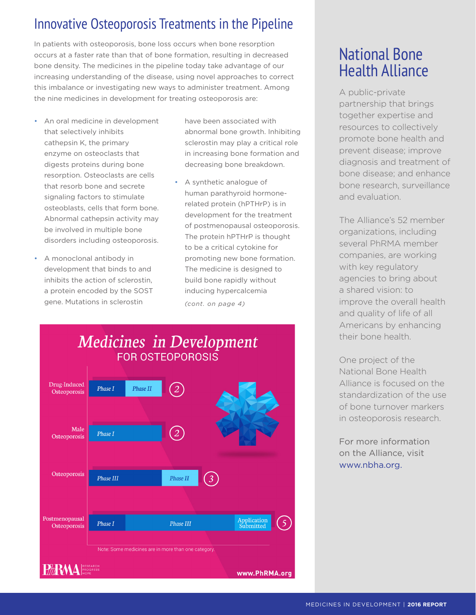### Innovative Osteoporosis Treatments in the Pipeline

In patients with osteoporosis, bone loss occurs when bone resorption occurs at a faster rate than that of bone formation, resulting in decreased bone density. The medicines in the pipeline today take advantage of our increasing understanding of the disease, using novel approaches to correct this imbalance or investigating new ways to administer treatment. Among the nine medicines in development for treating osteoporosis are:

- An oral medicine in development that selectively inhibits cathepsin K, the primary enzyme on osteoclasts that digests proteins during bone resorption. Osteoclasts are cells that resorb bone and secrete signaling factors to stimulate osteoblasts, cells that form bone. Abnormal cathepsin activity may be involved in multiple bone disorders including osteoporosis.
- A monoclonal antibody in development that binds to and inhibits the action of sclerostin, a protein encoded by the SOST gene. Mutations in sclerostin
- have been associated with abnormal bone growth. Inhibiting sclerostin may play a critical role in increasing bone formation and decreasing bone breakdown.
- A synthetic analogue of human parathyroid hormonerelated protein (hPTHrP) is in development for the treatment of postmenopausal osteoporosis. The protein hPTHrP is thought to be a critical cytokine for promoting new bone formation. The medicine is designed to build bone rapidly without inducing hypercalcemia *(cont. on page 4)*



## National Bone Health Alliance

A public-private partnership that brings together expertise and resources to collectively promote bone health and prevent disease; improve diagnosis and treatment of bone disease; and enhance bone research, surveillance and evaluation.

The Alliance's 52 member organizations, including several PhRMA member companies, are working with key regulatory agencies to bring about a shared vision: to improve the overall health and quality of life of all Americans by enhancing their bone health.

One project of the National Bone Health Alliance is focused on the standardization of the use of bone turnover markers in osteoporosis research.

For more information on the Alliance, visit www.nbha.org.